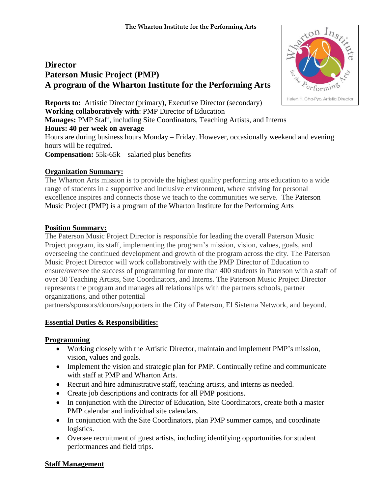# **Director Paterson Music Project (PMP) A program of the Wharton Institute for the Performing Arts**

**Reports to:** Artistic Director (primary), Executive Director (secondary) **Working collaboratively with**: PMP Director of Education **Manages:** PMP Staff, including Site Coordinators, Teaching Artists, and Interns **Hours: 40 per week on average** Hours are during business hours Monday – Friday. However, occasionally weekend and evening hours will be required. **Compensation:** 55k-65k – salaried plus benefits

# **Organization Summary:**

The Wharton Arts mission is to provide the highest quality performing arts education to a wide range of students in a supportive and inclusive environment, where striving for personal excellence inspires and connects those we teach to the communities we serve. The Paterson Music Project (PMP) is a program of the Wharton Institute for the Performing Arts

## **Position Summary:**

The Paterson Music Project Director is responsible for leading the overall Paterson Music Project program, its staff, implementing the program's mission, vision, values, goals, and overseeing the continued development and growth of the program across the city. The Paterson Music Project Director will work collaboratively with the PMP Director of Education to ensure/oversee the success of programming for more than 400 students in Paterson with a staff of over 30 Teaching Artists, Site Coordinators, and Interns. The Paterson Music Project Director represents the program and manages all relationships with the partners schools, partner organizations, and other potential

partners/sponsors/donors/supporters in the City of Paterson, El Sistema Network, and beyond.

#### **Essential Duties & Responsibilities:**

#### **Programming**

- Working closely with the Artistic Director, maintain and implement PMP's mission, vision, values and goals.
- Implement the vision and strategic plan for PMP. Continually refine and communicate with staff at PMP and Wharton Arts.
- Recruit and hire administrative staff, teaching artists, and interns as needed.
- Create job descriptions and contracts for all PMP positions.
- In conjunction with the Director of Education, Site Coordinators, create both a master PMP calendar and individual site calendars.
- In conjunction with the Site Coordinators, plan PMP summer camps, and coordinate logistics.
- Oversee recruitment of guest artists, including identifying opportunities for student performances and field trips.

#### **Staff Management**

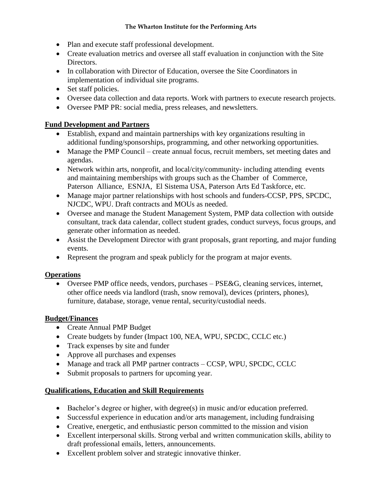#### **The Wharton Institute for the Performing Arts**

- Plan and execute staff professional development.
- Create evaluation metrics and oversee all staff evaluation in conjunction with the Site Directors.
- In collaboration with Director of Education, oversee the Site Coordinators in implementation of individual site programs.
- Set staff policies.
- Oversee data collection and data reports. Work with partners to execute research projects.
- Oversee PMP PR: social media, press releases, and newsletters.

## **Fund Development and Partners**

- Establish, expand and maintain partnerships with key organizations resulting in additional funding/sponsorships, programming, and other networking opportunities.
- Manage the PMP Council create annual focus, recruit members, set meeting dates and agendas.
- Network within arts, nonprofit, and local/city/community- including attending events and maintaining memberships with groups such as the Chamber of Commerce, Paterson Alliance, ESNJA, El Sistema USA, Paterson Arts Ed Taskforce, etc.
- Manage major partner relationships with host schools and funders-CCSP, PPS, SPCDC, NJCDC, WPU. Draft contracts and MOUs as needed.
- Oversee and manage the Student Management System, PMP data collection with outside consultant, track data calendar, collect student grades, conduct surveys, focus groups, and generate other information as needed.
- Assist the Development Director with grant proposals, grant reporting, and major funding events.
- Represent the program and speak publicly for the program at major events.

#### **Operations**

 Oversee PMP office needs, vendors, purchases – PSE&G, cleaning services, internet, other office needs via landlord (trash, snow removal), devices (printers, phones), furniture, database, storage, venue rental, security/custodial needs.

#### **Budget/Finances**

- Create Annual PMP Budget
- Create budgets by funder (Impact 100, NEA, WPU, SPCDC, CCLC etc.)
- Track expenses by site and funder
- Approve all purchases and expenses
- Manage and track all PMP partner contracts CCSP, WPU, SPCDC, CCLC
- Submit proposals to partners for upcoming year.

## **Qualifications, Education and Skill Requirements**

- Bachelor's degree or higher, with degree(s) in music and/or education preferred.
- Successful experience in education and/or arts management, including fundraising
- Creative, energetic, and enthusiastic person committed to the mission and vision
- Excellent interpersonal skills. Strong verbal and written communication skills, ability to draft professional emails, letters, announcements.
- Excellent problem solver and strategic innovative thinker.